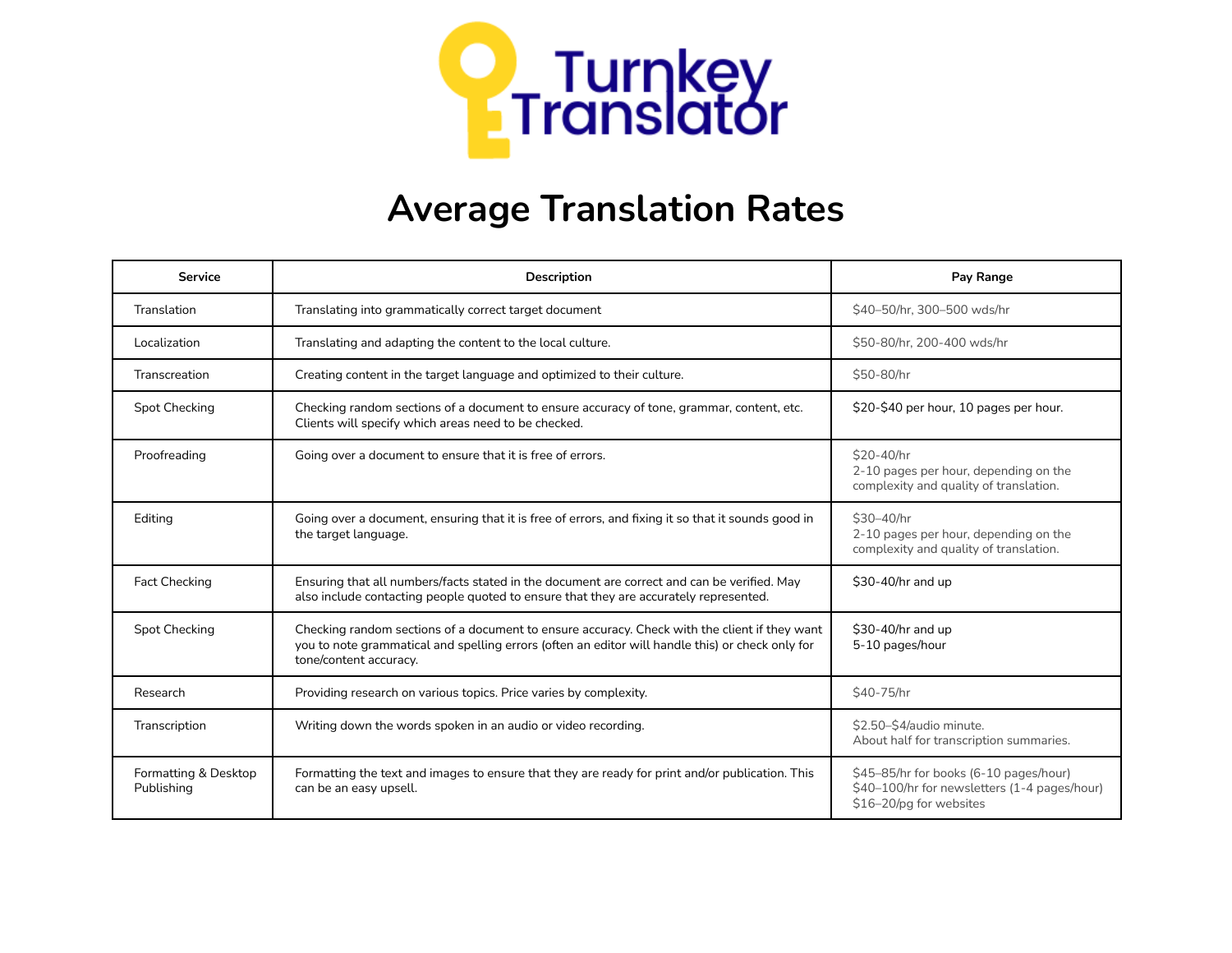

## **Average Translation Rates**

| <b>Service</b>                     | <b>Description</b>                                                                                                                                                                                                          | Pay Range                                                                                                         |
|------------------------------------|-----------------------------------------------------------------------------------------------------------------------------------------------------------------------------------------------------------------------------|-------------------------------------------------------------------------------------------------------------------|
| Translation                        | Translating into grammatically correct target document                                                                                                                                                                      | \$40-50/hr, 300-500 wds/hr                                                                                        |
| Localization                       | Translating and adapting the content to the local culture.                                                                                                                                                                  | \$50-80/hr, 200-400 wds/hr                                                                                        |
| Transcreation                      | Creating content in the target language and optimized to their culture.                                                                                                                                                     | \$50-80/hr                                                                                                        |
| <b>Spot Checking</b>               | Checking random sections of a document to ensure accuracy of tone, grammar, content, etc.<br>Clients will specify which areas need to be checked.                                                                           | \$20-\$40 per hour, 10 pages per hour.                                                                            |
| Proofreading                       | Going over a document to ensure that it is free of errors.                                                                                                                                                                  | \$20-40/hr<br>2-10 pages per hour, depending on the<br>complexity and quality of translation.                     |
| Editing                            | Going over a document, ensuring that it is free of errors, and fixing it so that it sounds good in<br>the target language.                                                                                                  | \$30-40/hr<br>2-10 pages per hour, depending on the<br>complexity and quality of translation.                     |
| <b>Fact Checking</b>               | Ensuring that all numbers/facts stated in the document are correct and can be verified. May<br>also include contacting people quoted to ensure that they are accurately represented.                                        | \$30-40/hr and up                                                                                                 |
| Spot Checking                      | Checking random sections of a document to ensure accuracy. Check with the client if they want<br>you to note grammatical and spelling errors (often an editor will handle this) or check only for<br>tone/content accuracy. | \$30-40/hr and up<br>5-10 pages/hour                                                                              |
| Research                           | Providing research on various topics. Price varies by complexity.                                                                                                                                                           | \$40-75/hr                                                                                                        |
| Transcription                      | Writing down the words spoken in an audio or video recording.                                                                                                                                                               | \$2.50-\$4/audio minute.<br>About half for transcription summaries.                                               |
| Formatting & Desktop<br>Publishing | Formatting the text and images to ensure that they are ready for print and/or publication. This<br>can be an easy upsell.                                                                                                   | \$45-85/hr for books (6-10 pages/hour)<br>\$40-100/hr for newsletters (1-4 pages/hour)<br>\$16-20/pg for websites |